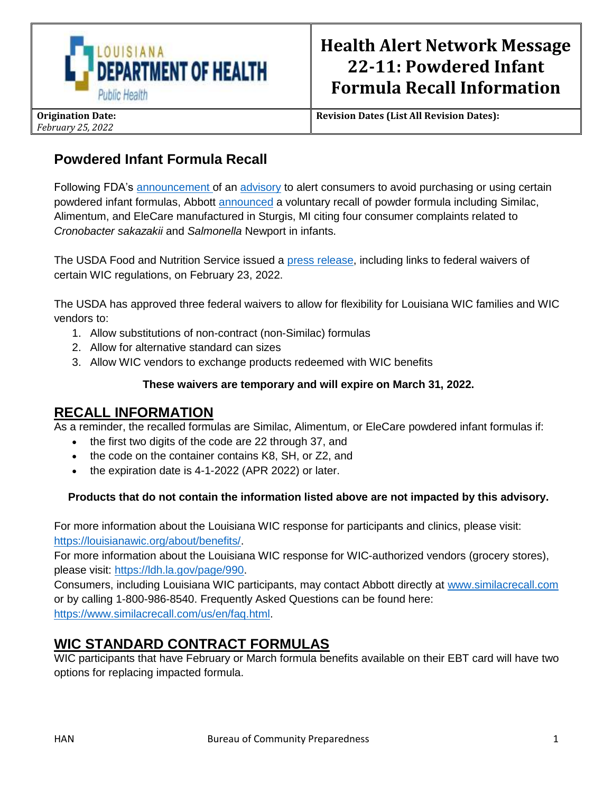

**Revision Dates (List All Revision Dates):**

# **Powdered Infant Formula Recall**

Following FDA's [announcement](https://urldefense.proofpoint.com/v2/url?u=https-3A__gcc02.safelinks.protection.outlook.com_-3Furl-3Dhttps-253A-252F-252Fwww.fda.gov-252Fnews-2Devents-252Fpress-2Dannouncements-252Ffda-2Dwarns-2Dconsumers-2Dnot-2Duse-2Dcertain-2Dpowdered-2Dinfant-2Dformula-2Dproduced-2Dabbott-2Dnutritions-2Dfacility-26data-3D04-257C01-257C-257Ce0a3b378e51b486e44c108d9f2e81a52-257Ced5b36e701ee4ebc867ee03cfa0d4697-257C0-257C0-257C637807900946079112-257CUnknown-257CTWFpbGZsb3d8eyJWIjoiMC4wLjAwMDAiLCJQIjoiV2luMzIiLCJBTiI6Ik1haWwiLCJXVCI6Mn0-253D-257C3000-26sdata-3DAD3jc8W3BHg8oJXc9HrRuALt2vyadzJdx4tdwyiWdHs-253D-26reserved-3D0&d=DwMGaQ&c=xlPCXuHzMdaH2Flc1sgyicYpGQbQbU9KDEmgNF3_wI0&r=N9QDacQNOslmRAnlFGOW1mJbyRhVHkpyCfMXWbt2JG8&m=kAdsXa4LQa8Oo9Bc84C5TtlAVhRyAUyLtSYtq0TK0aU&s=B8bwcp9E0yEeBU5ucPEN8BP55dRkNPP6TO7JYSXYqCY&e=) of an [advisory](https://urldefense.proofpoint.com/v2/url?u=https-3A__gcc02.safelinks.protection.outlook.com_-3Furl-3Dhttps-253A-252F-252Fwww.fda.gov-252Ffood-252Foutbreaks-2Dfoodborne-2Dillness-252Ffda-2Dinvestigation-2Dcronobacter-2Dand-2Dsalmonella-2Dcomplaints-2Dpowdered-2Dinfant-2Dformula-2Dfebruary-2D2022-26data-3D04-257C01-257C-257Ce0a3b378e51b486e44c108d9f2e81a52-257Ced5b36e701ee4ebc867ee03cfa0d4697-257C0-257C0-257C637807900946079112-257CUnknown-257CTWFpbGZsb3d8eyJWIjoiMC4wLjAwMDAiLCJQIjoiV2luMzIiLCJBTiI6Ik1haWwiLCJXVCI6Mn0-253D-257C3000-26sdata-3DGNrPw9gzBkkCtwh9OhAF6pfTrhj92whTQi46MQu1Ig4-253D-26reserved-3D0&d=DwMGaQ&c=xlPCXuHzMdaH2Flc1sgyicYpGQbQbU9KDEmgNF3_wI0&r=N9QDacQNOslmRAnlFGOW1mJbyRhVHkpyCfMXWbt2JG8&m=kAdsXa4LQa8Oo9Bc84C5TtlAVhRyAUyLtSYtq0TK0aU&s=Ijpuojrrin9HFUEVvtmh5CiLYD9QcR7ySeKdGwoZGBI&e=) to alert consumers to avoid purchasing or using certain powdered infant formulas, Abbott [announced](https://urldefense.proofpoint.com/v2/url?u=https-3A__gcc02.safelinks.protection.outlook.com_-3Furl-3Dhttps-253A-252F-252Fwww.fda.gov-252Fsafety-252Frecalls-2Dmarket-2Dwithdrawals-2Dsafety-2Dalerts-252Fabbott-2Dvoluntarily-2Drecalls-2Dpowder-2Dformulas-2Dmanufactured-2Done-2Dplant-26data-3D04-257C01-257C-257Ce0a3b378e51b486e44c108d9f2e81a52-257Ced5b36e701ee4ebc867ee03cfa0d4697-257C0-257C0-257C637807900946079112-257CUnknown-257CTWFpbGZsb3d8eyJWIjoiMC4wLjAwMDAiLCJQIjoiV2luMzIiLCJBTiI6Ik1haWwiLCJXVCI6Mn0-253D-257C3000-26sdata-3DPfG73swRRkHHb994OzzWHCabryM4u69kUlP-252FyDHrMwU-253D-26reserved-3D0&d=DwMGaQ&c=xlPCXuHzMdaH2Flc1sgyicYpGQbQbU9KDEmgNF3_wI0&r=N9QDacQNOslmRAnlFGOW1mJbyRhVHkpyCfMXWbt2JG8&m=kAdsXa4LQa8Oo9Bc84C5TtlAVhRyAUyLtSYtq0TK0aU&s=SOu0aGDd1cvl178mtLKxkcGYPjetYHFxEO5n9vWNU-w&e=) a voluntary recall of powder formula including Similac, Alimentum, and EleCare manufactured in Sturgis, MI citing four consumer complaints related to *Cronobacter sakazakii* and *Salmonella* Newport in infants.

The USDA Food and Nutrition Service issued a [press release,](https://www.usda.gov/media/press-releases/2022/02/23/usda-grants-additional-wic-flexibilities-amid-abbott-recall-certain) including links to federal waivers of certain WIC regulations, on February 23, 2022.

The USDA has approved three federal waivers to allow for flexibility for Louisiana WIC families and WIC vendors to:

- 1. Allow substitutions of non-contract (non-Similac) formulas
- 2. Allow for alternative standard can sizes
- 3. Allow WIC vendors to exchange products redeemed with WIC benefits

#### **These waivers are temporary and will expire on March 31, 2022.**

### **RECALL INFORMATION**

As a reminder, the recalled formulas are Similac, Alimentum, or EleCare powdered infant formulas if:

- the first two digits of the code are 22 through 37, and
- the code on the container contains K8, SH, or Z2, and
- the expiration date is 4-1-2022 (APR 2022) or later.

#### **Products that do not contain the information listed above are not impacted by this advisory.**

For more information about the Louisiana WIC response for participants and clinics, please visit: [https://louisianawic.org/about/benefits/.](https://louisianawic.org/about/benefits/)

For more information about the Louisiana WIC response for WIC-authorized vendors (grocery stores), please visit: [https://ldh.la.gov/page/990.](https://ldh.la.gov/page/990)

Consumers, including Louisiana WIC participants, may contact Abbott directly at [www.similacrecall.com](http://www.similacrecall.com/) or by calling 1-800-986-8540. Frequently Asked Questions can be found here: [https://www.similacrecall.com/us/en/faq.html.](https://www.similacrecall.com/us/en/faq.html)

## **WIC STANDARD CONTRACT FORMULAS**

WIC participants that have February or March formula benefits available on their EBT card will have two options for replacing impacted formula.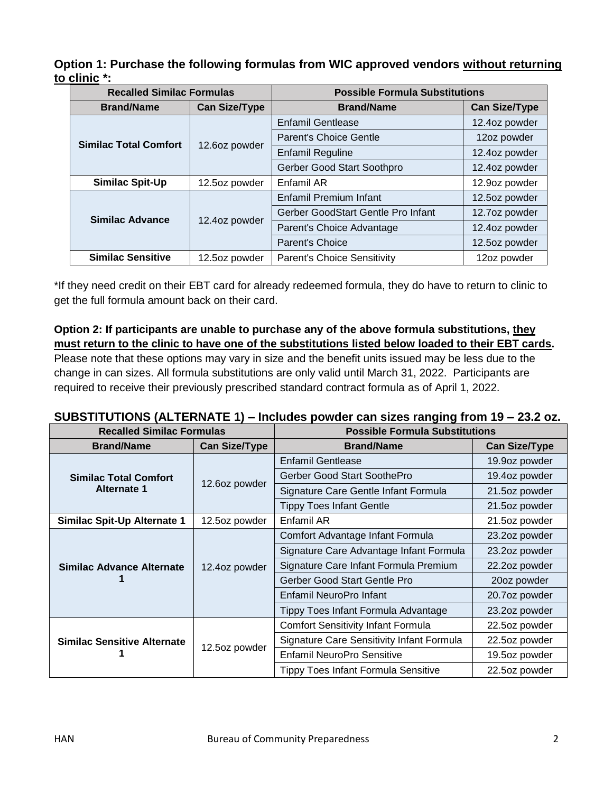**Option 1: Purchase the following formulas from WIC approved vendors without returning to clinic \*:**

| <b>Recalled Similac Formulas</b> |                      | <b>Possible Formula Substitutions</b> |                      |
|----------------------------------|----------------------|---------------------------------------|----------------------|
| <b>Brand/Name</b>                | <b>Can Size/Type</b> | <b>Brand/Name</b>                     | <b>Can Size/Type</b> |
| <b>Similac Total Comfort</b>     | 12.6oz powder        | <b>Enfamil Gentlease</b>              | 12.4oz powder        |
|                                  |                      | <b>Parent's Choice Gentle</b>         | 12oz powder          |
|                                  |                      | <b>Enfamil Reguline</b>               | 12.4oz powder        |
|                                  |                      | Gerber Good Start Soothpro            | 12.4oz powder        |
| <b>Similac Spit-Up</b>           | 12.5oz powder        | Enfamil AR                            | 12.9oz powder        |
| <b>Similac Advance</b>           | 12.4oz powder        | Enfamil Premium Infant                | 12.5oz powder        |
|                                  |                      | Gerber GoodStart Gentle Pro Infant    | 12.7oz powder        |
|                                  |                      | Parent's Choice Advantage             | 12.4oz powder        |
|                                  |                      | Parent's Choice                       | 12.5oz powder        |
| <b>Similac Sensitive</b>         | 12.5oz powder        | <b>Parent's Choice Sensitivity</b>    | 12oz powder          |

\*If they need credit on their EBT card for already redeemed formula, they do have to return to clinic to get the full formula amount back on their card.

**Option 2: If participants are unable to purchase any of the above formula substitutions, they must return to the clinic to have one of the substitutions listed below loaded to their EBT cards.** Please note that these options may vary in size and the benefit units issued may be less due to the change in can sizes. All formula substitutions are only valid until March 31, 2022. Participants are required to receive their previously prescribed standard contract formula as of April 1, 2022.

### **SUBSTITUTIONS (ALTERNATE 1) – Includes powder can sizes ranging from 19 – 23.2 oz.**

| <b>Recalled Similac Formulas</b>                   |                      | <b>Possible Formula Substitutions</b>            |                      |
|----------------------------------------------------|----------------------|--------------------------------------------------|----------------------|
| <b>Brand/Name</b>                                  | <b>Can Size/Type</b> | <b>Brand/Name</b>                                | <b>Can Size/Type</b> |
| <b>Similac Total Comfort</b><br><b>Alternate 1</b> | 12.6oz powder        | <b>Enfamil Gentlease</b>                         | 19.9oz powder        |
|                                                    |                      | Gerber Good Start SoothePro                      | 19.4oz powder        |
|                                                    |                      | Signature Care Gentle Infant Formula             | 21.5oz powder        |
|                                                    |                      | <b>Tippy Toes Infant Gentle</b>                  | 21.5oz powder        |
| <b>Similac Spit-Up Alternate 1</b>                 | 12.5oz powder        | Enfamil AR                                       | 21.5oz powder        |
| <b>Similac Advance Alternate</b>                   | 12.4oz powder        | Comfort Advantage Infant Formula                 | 23.2oz powder        |
|                                                    |                      | Signature Care Advantage Infant Formula          | 23.2oz powder        |
|                                                    |                      | Signature Care Infant Formula Premium            | 22.2oz powder        |
|                                                    |                      | Gerber Good Start Gentle Pro                     | 20oz powder          |
|                                                    |                      | Enfamil NeuroPro Infant                          | 20.7oz powder        |
|                                                    |                      | Tippy Toes Infant Formula Advantage              | 23.2oz powder        |
| <b>Similac Sensitive Alternate</b>                 | 12.5oz powder        | <b>Comfort Sensitivity Infant Formula</b>        | 22.5oz powder        |
|                                                    |                      | <b>Signature Care Sensitivity Infant Formula</b> | 22.5oz powder        |
|                                                    |                      | Enfamil NeuroPro Sensitive                       | 19.5oz powder        |
|                                                    |                      | <b>Tippy Toes Infant Formula Sensitive</b>       | 22.5oz powder        |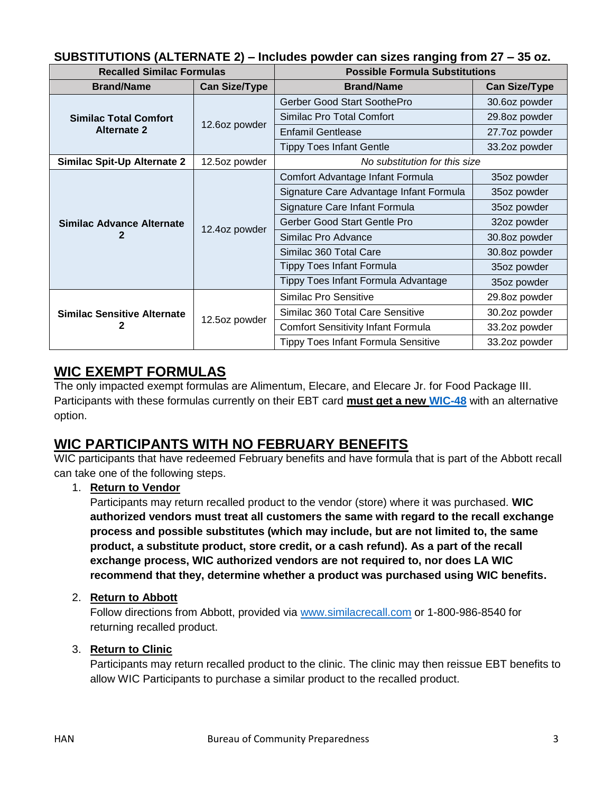| <b>Recalled Similac Formulas</b>                   |                      | - pontor van ville ranging nom li<br><b>Possible Formula Substitutions</b> |                      |
|----------------------------------------------------|----------------------|----------------------------------------------------------------------------|----------------------|
| <b>Brand/Name</b>                                  | <b>Can Size/Type</b> | <b>Brand/Name</b>                                                          | <b>Can Size/Type</b> |
| <b>Similac Total Comfort</b><br><b>Alternate 2</b> | 12.6oz powder        | Gerber Good Start SoothePro                                                | 30.6oz powder        |
|                                                    |                      | Similac Pro Total Comfort                                                  | 29.8oz powder        |
|                                                    |                      | <b>Enfamil Gentlease</b>                                                   | 27.7oz powder        |
|                                                    |                      | <b>Tippy Toes Infant Gentle</b>                                            | 33.2oz powder        |
| Similac Spit-Up Alternate 2                        | 12.5oz powder        | No substitution for this size                                              |                      |
| Similac Advance Alternate<br>2                     | 12.4oz powder        | Comfort Advantage Infant Formula                                           | 35oz powder          |
|                                                    |                      | Signature Care Advantage Infant Formula                                    | 35oz powder          |
|                                                    |                      | Signature Care Infant Formula                                              | 35oz powder          |
|                                                    |                      | Gerber Good Start Gentle Pro                                               | 32oz powder          |
|                                                    |                      | Similac Pro Advance                                                        | 30.8oz powder        |
|                                                    |                      | Similac 360 Total Care                                                     | 30.8oz powder        |
|                                                    |                      | <b>Tippy Toes Infant Formula</b>                                           | 35oz powder          |
|                                                    |                      | Tippy Toes Infant Formula Advantage                                        | 35oz powder          |
| <b>Similac Sensitive Alternate</b><br>2            | 12.5oz powder        | Similac Pro Sensitive                                                      | 29.8oz powder        |
|                                                    |                      | Similac 360 Total Care Sensitive                                           | 30.2oz powder        |
|                                                    |                      | <b>Comfort Sensitivity Infant Formula</b>                                  | 33.2oz powder        |
|                                                    |                      | <b>Tippy Toes Infant Formula Sensitive</b>                                 | 33.2oz powder        |

### **SUBSTITUTIONS (ALTERNATE 2) – Includes powder can sizes ranging from 27 – 35 oz.**

## **WIC EXEMPT FORMULAS**

The only impacted exempt formulas are Alimentum, Elecare, and Elecare Jr. for Food Package III. Participants with these formulas currently on their EBT card **must get a new [WIC-48](https://louisianawic.org/wp-content/uploads/2022/01/WIC-48-Louisiana-Medical-Request-for-Formula-and-or-Food-1.3.2022-Fillable-Form.pdf)** with an alternative option.

## **WIC PARTICIPANTS WITH NO FEBRUARY BENEFITS**

WIC participants that have redeemed February benefits and have formula that is part of the Abbott recall can take one of the following steps.

### 1. **Return to Vendor**

Participants may return recalled product to the vendor (store) where it was purchased. **WIC authorized vendors must treat all customers the same with regard to the recall exchange process and possible substitutes (which may include, but are not limited to, the same product, a substitute product, store credit, or a cash refund). As a part of the recall exchange process, WIC authorized vendors are not required to, nor does LA WIC recommend that they, determine whether a product was purchased using WIC benefits.**

### 2. **Return to Abbott**

Follow directions from Abbott, provided via [www.similacrecall.com](https://www.similacrecall.com/us/en/home.html) or 1-800-986-8540 for returning recalled product.

### 3. **Return to Clinic**

Participants may return recalled product to the clinic. The clinic may then reissue EBT benefits to allow WIC Participants to purchase a similar product to the recalled product.